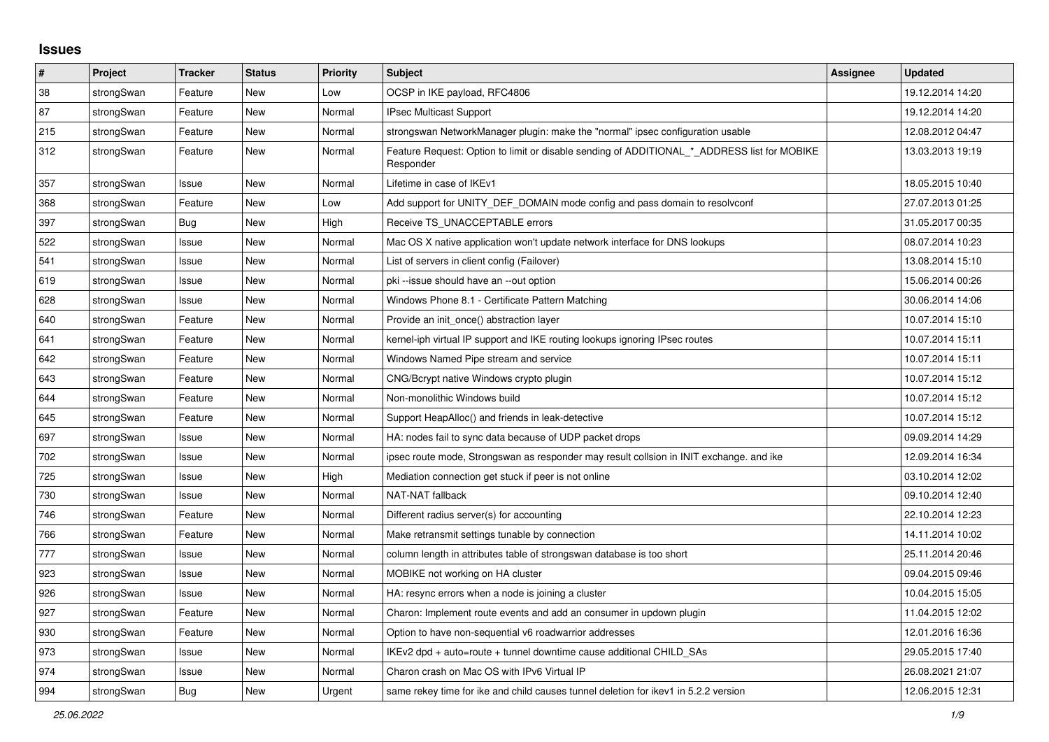## **Issues**

| ∦   | Project    | <b>Tracker</b> | <b>Status</b> | <b>Priority</b> | <b>Subject</b>                                                                                           | Assignee | <b>Updated</b>   |
|-----|------------|----------------|---------------|-----------------|----------------------------------------------------------------------------------------------------------|----------|------------------|
| 38  | strongSwan | Feature        | <b>New</b>    | Low             | OCSP in IKE payload, RFC4806                                                                             |          | 19.12.2014 14:20 |
| 87  | strongSwan | Feature        | <b>New</b>    | Normal          | <b>IPsec Multicast Support</b>                                                                           |          | 19.12.2014 14:20 |
| 215 | strongSwan | Feature        | New           | Normal          | strongswan NetworkManager plugin: make the "normal" ipsec configuration usable                           |          | 12.08.2012 04:47 |
| 312 | strongSwan | Feature        | New           | Normal          | Feature Request: Option to limit or disable sending of ADDITIONAL * ADDRESS list for MOBIKE<br>Responder |          | 13.03.2013 19:19 |
| 357 | strongSwan | Issue          | <b>New</b>    | Normal          | Lifetime in case of IKEv1                                                                                |          | 18.05.2015 10:40 |
| 368 | strongSwan | Feature        | <b>New</b>    | Low             | Add support for UNITY DEF DOMAIN mode config and pass domain to resolvconf                               |          | 27.07.2013 01:25 |
| 397 | strongSwan | Bug            | <b>New</b>    | High            | Receive TS UNACCEPTABLE errors                                                                           |          | 31.05.2017 00:35 |
| 522 | strongSwan | Issue          | <b>New</b>    | Normal          | Mac OS X native application won't update network interface for DNS lookups                               |          | 08.07.2014 10:23 |
| 541 | strongSwan | Issue          | New           | Normal          | List of servers in client config (Failover)                                                              |          | 13.08.2014 15:10 |
| 619 | strongSwan | Issue          | <b>New</b>    | Normal          | pki --issue should have an --out option                                                                  |          | 15.06.2014 00:26 |
| 628 | strongSwan | Issue          | <b>New</b>    | Normal          | Windows Phone 8.1 - Certificate Pattern Matching                                                         |          | 30.06.2014 14:06 |
| 640 | strongSwan | Feature        | New           | Normal          | Provide an init once() abstraction layer                                                                 |          | 10.07.2014 15:10 |
| 641 | strongSwan | Feature        | <b>New</b>    | Normal          | kernel-iph virtual IP support and IKE routing lookups ignoring IPsec routes                              |          | 10.07.2014 15:11 |
| 642 | strongSwan | Feature        | New           | Normal          | Windows Named Pipe stream and service                                                                    |          | 10.07.2014 15:11 |
| 643 | strongSwan | Feature        | New           | Normal          | CNG/Bcrypt native Windows crypto plugin                                                                  |          | 10.07.2014 15:12 |
| 644 | strongSwan | Feature        | <b>New</b>    | Normal          | Non-monolithic Windows build                                                                             |          | 10.07.2014 15:12 |
| 645 | strongSwan | Feature        | <b>New</b>    | Normal          | Support HeapAlloc() and friends in leak-detective                                                        |          | 10.07.2014 15:12 |
| 697 | strongSwan | Issue          | <b>New</b>    | Normal          | HA: nodes fail to sync data because of UDP packet drops                                                  |          | 09.09.2014 14:29 |
| 702 | strongSwan | Issue          | New           | Normal          | ipsec route mode, Strongswan as responder may result collsion in INIT exchange, and ike                  |          | 12.09.2014 16:34 |
| 725 | strongSwan | Issue          | <b>New</b>    | High            | Mediation connection get stuck if peer is not online                                                     |          | 03.10.2014 12:02 |
| 730 | strongSwan | Issue          | <b>New</b>    | Normal          | NAT-NAT fallback                                                                                         |          | 09.10.2014 12:40 |
| 746 | strongSwan | Feature        | <b>New</b>    | Normal          | Different radius server(s) for accounting                                                                |          | 22.10.2014 12:23 |
| 766 | strongSwan | Feature        | <b>New</b>    | Normal          | Make retransmit settings tunable by connection                                                           |          | 14.11.2014 10:02 |
| 777 | strongSwan | Issue          | New           | Normal          | column length in attributes table of strongswan database is too short                                    |          | 25.11.2014 20:46 |
| 923 | strongSwan | Issue          | <b>New</b>    | Normal          | MOBIKE not working on HA cluster                                                                         |          | 09.04.2015 09:46 |
| 926 | strongSwan | Issue          | <b>New</b>    | Normal          | HA: resync errors when a node is joining a cluster                                                       |          | 10.04.2015 15:05 |
| 927 | strongSwan | Feature        | <b>New</b>    | Normal          | Charon: Implement route events and add an consumer in updown plugin                                      |          | 11.04.2015 12:02 |
| 930 | strongSwan | Feature        | <b>New</b>    | Normal          | Option to have non-sequential v6 roadwarrior addresses                                                   |          | 12.01.2016 16:36 |
| 973 | strongSwan | Issue          | New           | Normal          | IKEv2 dpd + auto=route + tunnel downtime cause additional CHILD_SAs                                      |          | 29.05.2015 17:40 |
| 974 | strongSwan | Issue          | <b>New</b>    | Normal          | Charon crash on Mac OS with IPv6 Virtual IP                                                              |          | 26.08.2021 21:07 |
| 994 | strongSwan | Bug            | <b>New</b>    | Urgent          | same rekey time for ike and child causes tunnel deletion for ikev1 in 5.2.2 version                      |          | 12.06.2015 12:31 |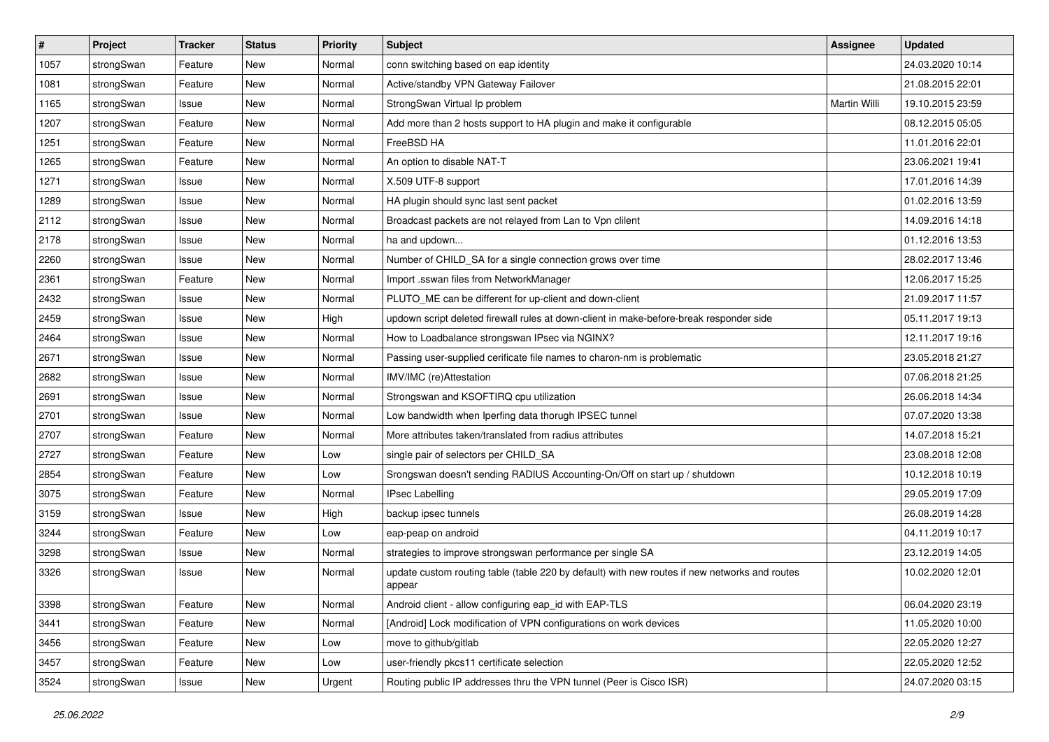| $\sharp$ | Project    | <b>Tracker</b> | <b>Status</b> | <b>Priority</b> | <b>Subject</b>                                                                                          | <b>Assignee</b> | <b>Updated</b>   |
|----------|------------|----------------|---------------|-----------------|---------------------------------------------------------------------------------------------------------|-----------------|------------------|
| 1057     | strongSwan | Feature        | New           | Normal          | conn switching based on eap identity                                                                    |                 | 24.03.2020 10:14 |
| 1081     | strongSwan | Feature        | <b>New</b>    | Normal          | Active/standby VPN Gateway Failover                                                                     |                 | 21.08.2015 22:01 |
| 1165     | strongSwan | Issue          | New           | Normal          | StrongSwan Virtual Ip problem                                                                           | Martin Willi    | 19.10.2015 23:59 |
| 1207     | strongSwan | Feature        | New           | Normal          | Add more than 2 hosts support to HA plugin and make it configurable                                     |                 | 08.12.2015 05:05 |
| 1251     | strongSwan | Feature        | <b>New</b>    | Normal          | FreeBSD HA                                                                                              |                 | 11.01.2016 22:01 |
| 1265     | strongSwan | Feature        | New           | Normal          | An option to disable NAT-T                                                                              |                 | 23.06.2021 19:41 |
| 1271     | strongSwan | Issue          | <b>New</b>    | Normal          | X.509 UTF-8 support                                                                                     |                 | 17.01.2016 14:39 |
| 1289     | strongSwan | Issue          | New           | Normal          | HA plugin should sync last sent packet                                                                  |                 | 01.02.2016 13:59 |
| 2112     | strongSwan | Issue          | New           | Normal          | Broadcast packets are not relayed from Lan to Vpn clilent                                               |                 | 14.09.2016 14:18 |
| 2178     | strongSwan | Issue          | <b>New</b>    | Normal          | ha and updown                                                                                           |                 | 01.12.2016 13:53 |
| 2260     | strongSwan | Issue          | New           | Normal          | Number of CHILD_SA for a single connection grows over time                                              |                 | 28.02.2017 13:46 |
| 2361     | strongSwan | Feature        | <b>New</b>    | Normal          | Import .sswan files from NetworkManager                                                                 |                 | 12.06.2017 15:25 |
| 2432     | strongSwan | Issue          | New           | Normal          | PLUTO_ME can be different for up-client and down-client                                                 |                 | 21.09.2017 11:57 |
| 2459     | strongSwan | Issue          | <b>New</b>    | High            | updown script deleted firewall rules at down-client in make-before-break responder side                 |                 | 05.11.2017 19:13 |
| 2464     | strongSwan | Issue          | <b>New</b>    | Normal          | How to Loadbalance strongswan IPsec via NGINX?                                                          |                 | 12.11.2017 19:16 |
| 2671     | strongSwan | Issue          | New           | Normal          | Passing user-supplied cerificate file names to charon-nm is problematic                                 |                 | 23.05.2018 21:27 |
| 2682     | strongSwan | Issue          | New           | Normal          | IMV/IMC (re)Attestation                                                                                 |                 | 07.06.2018 21:25 |
| 2691     | strongSwan | Issue          | <b>New</b>    | Normal          | Strongswan and KSOFTIRQ cpu utilization                                                                 |                 | 26.06.2018 14:34 |
| 2701     | strongSwan | Issue          | New           | Normal          | Low bandwidth when Iperfing data thorugh IPSEC tunnel                                                   |                 | 07.07.2020 13:38 |
| 2707     | strongSwan | Feature        | New           | Normal          | More attributes taken/translated from radius attributes                                                 |                 | 14.07.2018 15:21 |
| 2727     | strongSwan | Feature        | New           | Low             | single pair of selectors per CHILD_SA                                                                   |                 | 23.08.2018 12:08 |
| 2854     | strongSwan | Feature        | New           | Low             | Srongswan doesn't sending RADIUS Accounting-On/Off on start up / shutdown                               |                 | 10.12.2018 10:19 |
| 3075     | strongSwan | Feature        | <b>New</b>    | Normal          | <b>IPsec Labelling</b>                                                                                  |                 | 29.05.2019 17:09 |
| 3159     | strongSwan | Issue          | New           | High            | backup ipsec tunnels                                                                                    |                 | 26.08.2019 14:28 |
| 3244     | strongSwan | Feature        | New           | Low             | eap-peap on android                                                                                     |                 | 04.11.2019 10:17 |
| 3298     | strongSwan | Issue          | New           | Normal          | strategies to improve strongswan performance per single SA                                              |                 | 23.12.2019 14:05 |
| 3326     | strongSwan | Issue          | New           | Normal          | update custom routing table (table 220 by default) with new routes if new networks and routes<br>appear |                 | 10.02.2020 12:01 |
| 3398     | strongSwan | Feature        | New           | Normal          | Android client - allow configuring eap id with EAP-TLS                                                  |                 | 06.04.2020 23:19 |
| 3441     | strongSwan | Feature        | New           | Normal          | [Android] Lock modification of VPN configurations on work devices                                       |                 | 11.05.2020 10:00 |
| 3456     | strongSwan | Feature        | New           | Low             | move to github/gitlab                                                                                   |                 | 22.05.2020 12:27 |
| 3457     | strongSwan | Feature        | New           | Low             | user-friendly pkcs11 certificate selection                                                              |                 | 22.05.2020 12:52 |
| 3524     | strongSwan | Issue          | New           | Urgent          | Routing public IP addresses thru the VPN tunnel (Peer is Cisco ISR)                                     |                 | 24.07.2020 03:15 |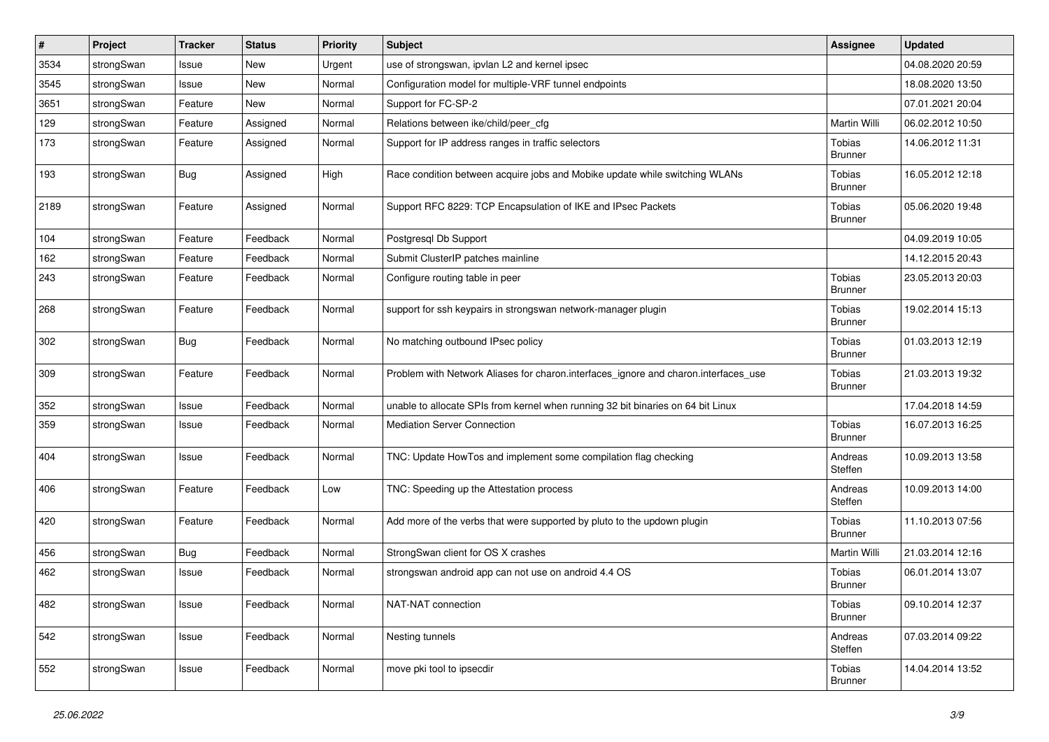| $\#$ | Project    | Tracker    | <b>Status</b> | <b>Priority</b> | <b>Subject</b>                                                                      | <b>Assignee</b>          | <b>Updated</b>   |
|------|------------|------------|---------------|-----------------|-------------------------------------------------------------------------------------|--------------------------|------------------|
| 3534 | strongSwan | Issue      | New           | Urgent          | use of strongswan, ipvlan L2 and kernel ipsec                                       |                          | 04.08.2020 20:59 |
| 3545 | strongSwan | Issue      | <b>New</b>    | Normal          | Configuration model for multiple-VRF tunnel endpoints                               |                          | 18.08.2020 13:50 |
| 3651 | strongSwan | Feature    | New           | Normal          | Support for FC-SP-2                                                                 |                          | 07.01.2021 20:04 |
| 129  | strongSwan | Feature    | Assigned      | Normal          | Relations between ike/child/peer_cfg                                                | Martin Willi             | 06.02.2012 10:50 |
| 173  | strongSwan | Feature    | Assigned      | Normal          | Support for IP address ranges in traffic selectors                                  | Tobias<br><b>Brunner</b> | 14.06.2012 11:31 |
| 193  | strongSwan | <b>Bug</b> | Assigned      | High            | Race condition between acquire jobs and Mobike update while switching WLANs         | Tobias<br><b>Brunner</b> | 16.05.2012 12:18 |
| 2189 | strongSwan | Feature    | Assigned      | Normal          | Support RFC 8229: TCP Encapsulation of IKE and IPsec Packets                        | Tobias<br><b>Brunner</b> | 05.06.2020 19:48 |
| 104  | strongSwan | Feature    | Feedback      | Normal          | Postgresql Db Support                                                               |                          | 04.09.2019 10:05 |
| 162  | strongSwan | Feature    | Feedback      | Normal          | Submit ClusterIP patches mainline                                                   |                          | 14.12.2015 20:43 |
| 243  | strongSwan | Feature    | Feedback      | Normal          | Configure routing table in peer                                                     | Tobias<br>Brunner        | 23.05.2013 20:03 |
| 268  | strongSwan | Feature    | Feedback      | Normal          | support for ssh keypairs in strongswan network-manager plugin                       | Tobias<br>Brunner        | 19.02.2014 15:13 |
| 302  | strongSwan | <b>Bug</b> | Feedback      | Normal          | No matching outbound IPsec policy                                                   | Tobias<br><b>Brunner</b> | 01.03.2013 12:19 |
| 309  | strongSwan | Feature    | Feedback      | Normal          | Problem with Network Aliases for charon.interfaces_ignore and charon.interfaces_use | Tobias<br><b>Brunner</b> | 21.03.2013 19:32 |
| 352  | strongSwan | Issue      | Feedback      | Normal          | unable to allocate SPIs from kernel when running 32 bit binaries on 64 bit Linux    |                          | 17.04.2018 14:59 |
| 359  | strongSwan | Issue      | Feedback      | Normal          | <b>Mediation Server Connection</b>                                                  | Tobias<br><b>Brunner</b> | 16.07.2013 16:25 |
| 404  | strongSwan | Issue      | Feedback      | Normal          | TNC: Update HowTos and implement some compilation flag checking                     | Andreas<br>Steffen       | 10.09.2013 13:58 |
| 406  | strongSwan | Feature    | Feedback      | Low             | TNC: Speeding up the Attestation process                                            | Andreas<br>Steffen       | 10.09.2013 14:00 |
| 420  | strongSwan | Feature    | Feedback      | Normal          | Add more of the verbs that were supported by pluto to the updown plugin             | Tobias<br><b>Brunner</b> | 11.10.2013 07:56 |
| 456  | strongSwan | <b>Bug</b> | Feedback      | Normal          | StrongSwan client for OS X crashes                                                  | Martin Willi             | 21.03.2014 12:16 |
| 462  | strongSwan | Issue      | Feedback      | Normal          | strongswan android app can not use on android 4.4 OS                                | Tobias<br><b>Brunner</b> | 06.01.2014 13:07 |
| 482  | strongSwan | Issue      | Feedback      | Normal          | NAT-NAT connection                                                                  | Tobias<br><b>Brunner</b> | 09.10.2014 12:37 |
| 542  | strongSwan | Issue      | Feedback      | Normal          | Nesting tunnels                                                                     | Andreas<br>Steffen       | 07.03.2014 09:22 |
| 552  | strongSwan | Issue      | Feedback      | Normal          | move pki tool to ipsecdir                                                           | Tobias<br><b>Brunner</b> | 14.04.2014 13:52 |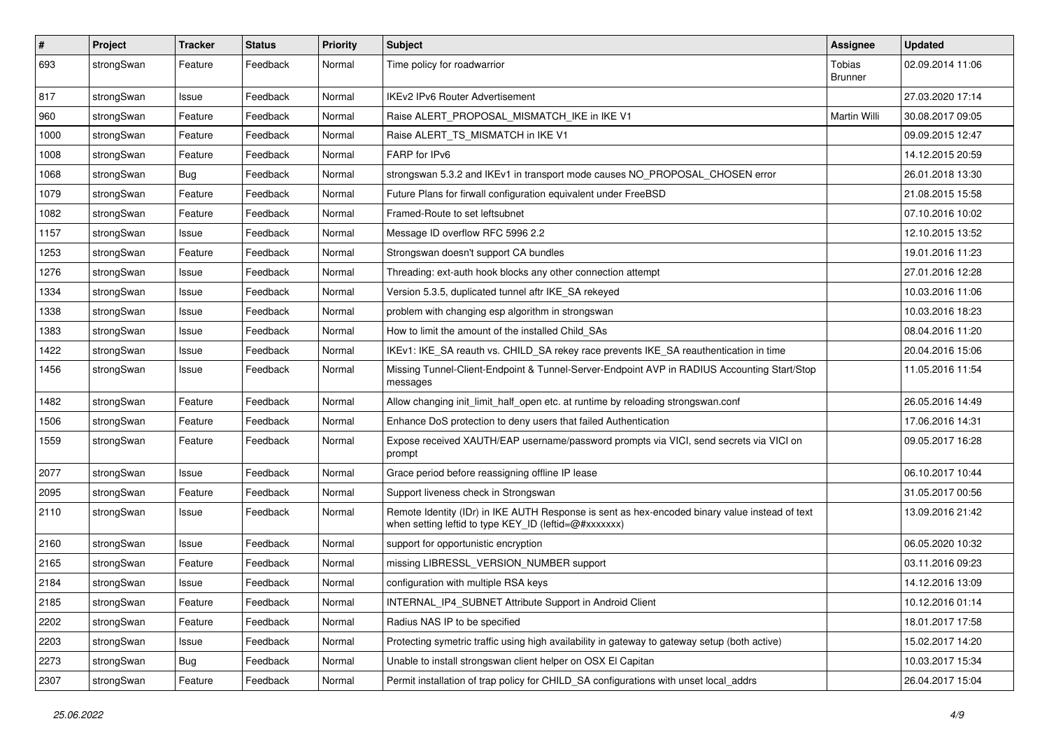| #    | Project    | <b>Tracker</b> | <b>Status</b> | Priority | <b>Subject</b>                                                                                                                                          | Assignee                 | <b>Updated</b>   |
|------|------------|----------------|---------------|----------|---------------------------------------------------------------------------------------------------------------------------------------------------------|--------------------------|------------------|
| 693  | strongSwan | Feature        | Feedback      | Normal   | Time policy for roadwarrior                                                                                                                             | Tobias<br><b>Brunner</b> | 02.09.2014 11:06 |
| 817  | strongSwan | Issue          | Feedback      | Normal   | <b>IKEv2 IPv6 Router Advertisement</b>                                                                                                                  |                          | 27.03.2020 17:14 |
| 960  | strongSwan | Feature        | Feedback      | Normal   | Raise ALERT PROPOSAL MISMATCH IKE in IKE V1                                                                                                             | Martin Willi             | 30.08.2017 09:05 |
| 1000 | strongSwan | Feature        | Feedback      | Normal   | Raise ALERT_TS_MISMATCH in IKE V1                                                                                                                       |                          | 09.09.2015 12:47 |
| 1008 | strongSwan | Feature        | Feedback      | Normal   | FARP for IPv6                                                                                                                                           |                          | 14.12.2015 20:59 |
| 1068 | strongSwan | <b>Bug</b>     | Feedback      | Normal   | strongswan 5.3.2 and IKEv1 in transport mode causes NO_PROPOSAL_CHOSEN error                                                                            |                          | 26.01.2018 13:30 |
| 1079 | strongSwan | Feature        | Feedback      | Normal   | Future Plans for firwall configuration equivalent under FreeBSD                                                                                         |                          | 21.08.2015 15:58 |
| 1082 | strongSwan | Feature        | Feedback      | Normal   | Framed-Route to set leftsubnet                                                                                                                          |                          | 07.10.2016 10:02 |
| 1157 | strongSwan | Issue          | Feedback      | Normal   | Message ID overflow RFC 5996 2.2                                                                                                                        |                          | 12.10.2015 13:52 |
| 1253 | strongSwan | Feature        | Feedback      | Normal   | Strongswan doesn't support CA bundles                                                                                                                   |                          | 19.01.2016 11:23 |
| 1276 | strongSwan | Issue          | Feedback      | Normal   | Threading: ext-auth hook blocks any other connection attempt                                                                                            |                          | 27.01.2016 12:28 |
| 1334 | strongSwan | Issue          | Feedback      | Normal   | Version 5.3.5, duplicated tunnel aftr IKE_SA rekeyed                                                                                                    |                          | 10.03.2016 11:06 |
| 1338 | strongSwan | Issue          | Feedback      | Normal   | problem with changing esp algorithm in strongswan                                                                                                       |                          | 10.03.2016 18:23 |
| 1383 | strongSwan | Issue          | Feedback      | Normal   | How to limit the amount of the installed Child_SAs                                                                                                      |                          | 08.04.2016 11:20 |
| 1422 | strongSwan | Issue          | Feedback      | Normal   | IKEv1: IKE_SA reauth vs. CHILD_SA rekey race prevents IKE_SA reauthentication in time                                                                   |                          | 20.04.2016 15:06 |
| 1456 | strongSwan | Issue          | Feedback      | Normal   | Missing Tunnel-Client-Endpoint & Tunnel-Server-Endpoint AVP in RADIUS Accounting Start/Stop<br>messages                                                 |                          | 11.05.2016 11:54 |
| 1482 | strongSwan | Feature        | Feedback      | Normal   | Allow changing init_limit_half_open etc. at runtime by reloading strongswan.conf                                                                        |                          | 26.05.2016 14:49 |
| 1506 | strongSwan | Feature        | Feedback      | Normal   | Enhance DoS protection to deny users that failed Authentication                                                                                         |                          | 17.06.2016 14:31 |
| 1559 | strongSwan | Feature        | Feedback      | Normal   | Expose received XAUTH/EAP username/password prompts via VICI, send secrets via VICI on<br>prompt                                                        |                          | 09.05.2017 16:28 |
| 2077 | strongSwan | Issue          | Feedback      | Normal   | Grace period before reassigning offline IP lease                                                                                                        |                          | 06.10.2017 10:44 |
| 2095 | strongSwan | Feature        | Feedback      | Normal   | Support liveness check in Strongswan                                                                                                                    |                          | 31.05.2017 00:56 |
| 2110 | strongSwan | Issue          | Feedback      | Normal   | Remote Identity (IDr) in IKE AUTH Response is sent as hex-encoded binary value instead of text<br>when setting leftid to type KEY_ID (leftid=@#xxxxxxx) |                          | 13.09.2016 21:42 |
| 2160 | strongSwan | Issue          | Feedback      | Normal   | support for opportunistic encryption                                                                                                                    |                          | 06.05.2020 10:32 |
| 2165 | strongSwan | Feature        | Feedback      | Normal   | missing LIBRESSL VERSION NUMBER support                                                                                                                 |                          | 03.11.2016 09:23 |
| 2184 | strongSwan | Issue          | Feedback      | Normal   | configuration with multiple RSA keys                                                                                                                    |                          | 14.12.2016 13:09 |
| 2185 | strongSwan | Feature        | Feedback      | Normal   | INTERNAL_IP4_SUBNET Attribute Support in Android Client                                                                                                 |                          | 10.12.2016 01:14 |
| 2202 | strongSwan | Feature        | Feedback      | Normal   | Radius NAS IP to be specified                                                                                                                           |                          | 18.01.2017 17:58 |
| 2203 | strongSwan | Issue          | Feedback      | Normal   | Protecting symetric traffic using high availability in gateway to gateway setup (both active)                                                           |                          | 15.02.2017 14:20 |
| 2273 | strongSwan | Bug            | Feedback      | Normal   | Unable to install strongswan client helper on OSX El Capitan                                                                                            |                          | 10.03.2017 15:34 |
| 2307 | strongSwan | Feature        | Feedback      | Normal   | Permit installation of trap policy for CHILD_SA configurations with unset local_addrs                                                                   |                          | 26.04.2017 15:04 |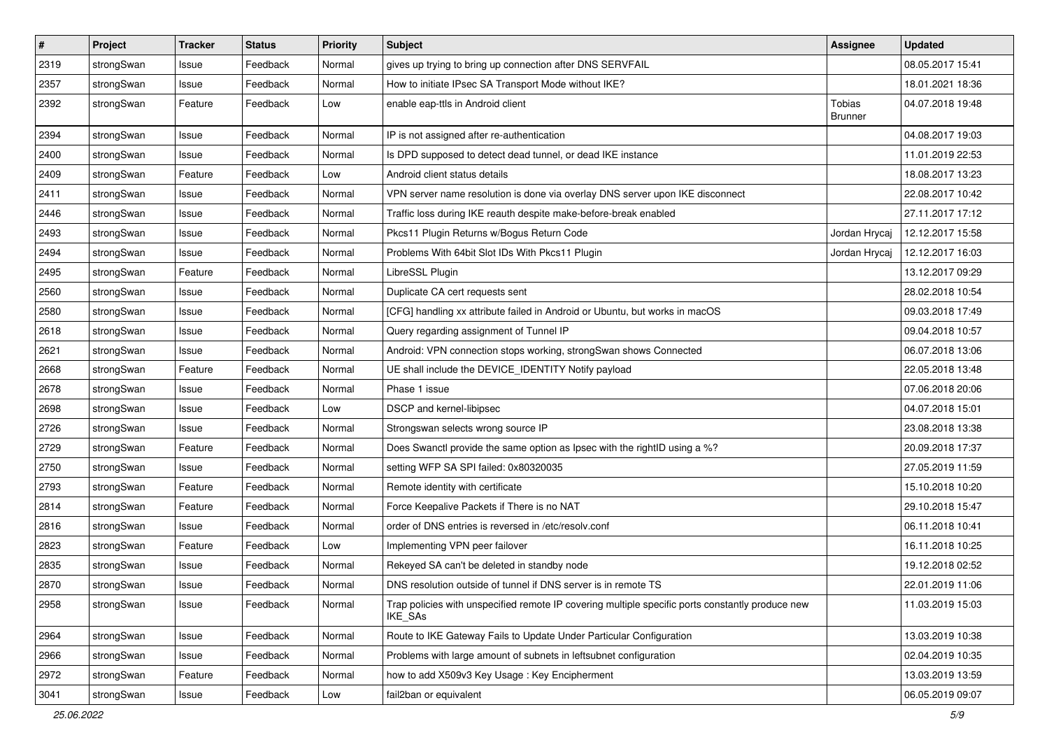| $\sharp$ | Project    | <b>Tracker</b> | <b>Status</b> | <b>Priority</b> | <b>Subject</b>                                                                                                     | <b>Assignee</b>          | <b>Updated</b>   |
|----------|------------|----------------|---------------|-----------------|--------------------------------------------------------------------------------------------------------------------|--------------------------|------------------|
| 2319     | strongSwan | Issue          | Feedback      | Normal          | gives up trying to bring up connection after DNS SERVFAIL                                                          |                          | 08.05.2017 15:41 |
| 2357     | strongSwan | Issue          | Feedback      | Normal          | How to initiate IPsec SA Transport Mode without IKE?                                                               |                          | 18.01.2021 18:36 |
| 2392     | strongSwan | Feature        | Feedback      | Low             | enable eap-ttls in Android client                                                                                  | Tobias<br><b>Brunner</b> | 04.07.2018 19:48 |
| 2394     | strongSwan | Issue          | Feedback      | Normal          | IP is not assigned after re-authentication                                                                         |                          | 04.08.2017 19:03 |
| 2400     | strongSwan | Issue          | Feedback      | Normal          | Is DPD supposed to detect dead tunnel, or dead IKE instance                                                        |                          | 11.01.2019 22:53 |
| 2409     | strongSwan | Feature        | Feedback      | Low             | Android client status details                                                                                      |                          | 18.08.2017 13:23 |
| 2411     | strongSwan | Issue          | Feedback      | Normal          | VPN server name resolution is done via overlay DNS server upon IKE disconnect                                      |                          | 22.08.2017 10:42 |
| 2446     | strongSwan | Issue          | Feedback      | Normal          | Traffic loss during IKE reauth despite make-before-break enabled                                                   |                          | 27.11.2017 17:12 |
| 2493     | strongSwan | Issue          | Feedback      | Normal          | Pkcs11 Plugin Returns w/Bogus Return Code                                                                          | Jordan Hrycaj            | 12.12.2017 15:58 |
| 2494     | strongSwan | Issue          | Feedback      | Normal          | Problems With 64bit Slot IDs With Pkcs11 Plugin                                                                    | Jordan Hrycaj            | 12.12.2017 16:03 |
| 2495     | strongSwan | Feature        | Feedback      | Normal          | LibreSSL Plugin                                                                                                    |                          | 13.12.2017 09:29 |
| 2560     | strongSwan | Issue          | Feedback      | Normal          | Duplicate CA cert requests sent                                                                                    |                          | 28.02.2018 10:54 |
| 2580     | strongSwan | Issue          | Feedback      | Normal          | [CFG] handling xx attribute failed in Android or Ubuntu, but works in macOS                                        |                          | 09.03.2018 17:49 |
| 2618     | strongSwan | Issue          | Feedback      | Normal          | Query regarding assignment of Tunnel IP                                                                            |                          | 09.04.2018 10:57 |
| 2621     | strongSwan | Issue          | Feedback      | Normal          | Android: VPN connection stops working, strongSwan shows Connected                                                  |                          | 06.07.2018 13:06 |
| 2668     | strongSwan | Feature        | Feedback      | Normal          | UE shall include the DEVICE_IDENTITY Notify payload                                                                |                          | 22.05.2018 13:48 |
| 2678     | strongSwan | Issue          | Feedback      | Normal          | Phase 1 issue                                                                                                      |                          | 07.06.2018 20:06 |
| 2698     | strongSwan | Issue          | Feedback      | Low             | DSCP and kernel-libipsec                                                                                           |                          | 04.07.2018 15:01 |
| 2726     | strongSwan | Issue          | Feedback      | Normal          | Strongswan selects wrong source IP                                                                                 |                          | 23.08.2018 13:38 |
| 2729     | strongSwan | Feature        | Feedback      | Normal          | Does Swanctl provide the same option as Ipsec with the rightID using a %?                                          |                          | 20.09.2018 17:37 |
| 2750     | strongSwan | Issue          | Feedback      | Normal          | setting WFP SA SPI failed: 0x80320035                                                                              |                          | 27.05.2019 11:59 |
| 2793     | strongSwan | Feature        | Feedback      | Normal          | Remote identity with certificate                                                                                   |                          | 15.10.2018 10:20 |
| 2814     | strongSwan | Feature        | Feedback      | Normal          | Force Keepalive Packets if There is no NAT                                                                         |                          | 29.10.2018 15:47 |
| 2816     | strongSwan | Issue          | Feedback      | Normal          | order of DNS entries is reversed in /etc/resolv.conf                                                               |                          | 06.11.2018 10:41 |
| 2823     | strongSwan | Feature        | Feedback      | Low             | Implementing VPN peer failover                                                                                     |                          | 16.11.2018 10:25 |
| 2835     | strongSwan | Issue          | Feedback      | Normal          | Rekeyed SA can't be deleted in standby node                                                                        |                          | 19.12.2018 02:52 |
| 2870     | strongSwan | Issue          | Feedback      | Normal          | DNS resolution outside of tunnel if DNS server is in remote TS                                                     |                          | 22.01.2019 11:06 |
| 2958     | strongSwan | Issue          | Feedback      | Normal          | Trap policies with unspecified remote IP covering multiple specific ports constantly produce new<br><b>IKE SAs</b> |                          | 11.03.2019 15:03 |
| 2964     | strongSwan | Issue          | Feedback      | Normal          | Route to IKE Gateway Fails to Update Under Particular Configuration                                                |                          | 13.03.2019 10:38 |
| 2966     | strongSwan | Issue          | Feedback      | Normal          | Problems with large amount of subnets in leftsubnet configuration                                                  |                          | 02.04.2019 10:35 |
| 2972     | strongSwan | Feature        | Feedback      | Normal          | how to add X509v3 Key Usage: Key Encipherment                                                                      |                          | 13.03.2019 13:59 |
| 3041     | strongSwan | Issue          | Feedback      | Low             | fail2ban or equivalent                                                                                             |                          | 06.05.2019 09:07 |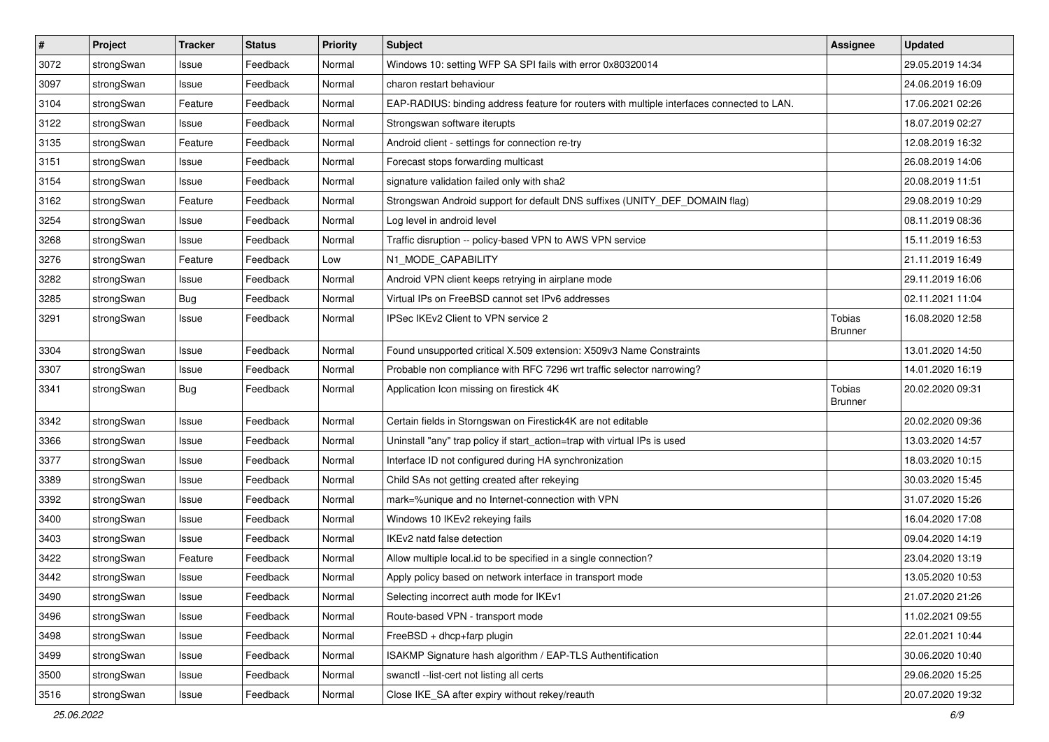| $\pmb{\#}$ | Project    | <b>Tracker</b> | <b>Status</b> | <b>Priority</b> | Subject                                                                                    | <b>Assignee</b>                 | <b>Updated</b>   |
|------------|------------|----------------|---------------|-----------------|--------------------------------------------------------------------------------------------|---------------------------------|------------------|
| 3072       | strongSwan | Issue          | Feedback      | Normal          | Windows 10: setting WFP SA SPI fails with error 0x80320014                                 |                                 | 29.05.2019 14:34 |
| 3097       | strongSwan | Issue          | Feedback      | Normal          | charon restart behaviour                                                                   |                                 | 24.06.2019 16:09 |
| 3104       | strongSwan | Feature        | Feedback      | Normal          | EAP-RADIUS: binding address feature for routers with multiple interfaces connected to LAN. |                                 | 17.06.2021 02:26 |
| 3122       | strongSwan | Issue          | Feedback      | Normal          | Strongswan software iterupts                                                               |                                 | 18.07.2019 02:27 |
| 3135       | strongSwan | Feature        | Feedback      | Normal          | Android client - settings for connection re-try                                            |                                 | 12.08.2019 16:32 |
| 3151       | strongSwan | Issue          | Feedback      | Normal          | Forecast stops forwarding multicast                                                        |                                 | 26.08.2019 14:06 |
| 3154       | strongSwan | Issue          | Feedback      | Normal          | signature validation failed only with sha2                                                 |                                 | 20.08.2019 11:51 |
| 3162       | strongSwan | Feature        | Feedback      | Normal          | Strongswan Android support for default DNS suffixes (UNITY_DEF_DOMAIN flag)                |                                 | 29.08.2019 10:29 |
| 3254       | strongSwan | Issue          | Feedback      | Normal          | Log level in android level                                                                 |                                 | 08.11.2019 08:36 |
| 3268       | strongSwan | Issue          | Feedback      | Normal          | Traffic disruption -- policy-based VPN to AWS VPN service                                  |                                 | 15.11.2019 16:53 |
| 3276       | strongSwan | Feature        | Feedback      | Low             | N1_MODE_CAPABILITY                                                                         |                                 | 21.11.2019 16:49 |
| 3282       | strongSwan | Issue          | Feedback      | Normal          | Android VPN client keeps retrying in airplane mode                                         |                                 | 29.11.2019 16:06 |
| 3285       | strongSwan | <b>Bug</b>     | Feedback      | Normal          | Virtual IPs on FreeBSD cannot set IPv6 addresses                                           |                                 | 02.11.2021 11:04 |
| 3291       | strongSwan | Issue          | Feedback      | Normal          | IPSec IKEv2 Client to VPN service 2                                                        | <b>Tobias</b><br><b>Brunner</b> | 16.08.2020 12:58 |
| 3304       | strongSwan | Issue          | Feedback      | Normal          | Found unsupported critical X.509 extension: X509v3 Name Constraints                        |                                 | 13.01.2020 14:50 |
| 3307       | strongSwan | Issue          | Feedback      | Normal          | Probable non compliance with RFC 7296 wrt traffic selector narrowing?                      |                                 | 14.01.2020 16:19 |
| 3341       | strongSwan | <b>Bug</b>     | Feedback      | Normal          | Application Icon missing on firestick 4K                                                   | <b>Tobias</b><br><b>Brunner</b> | 20.02.2020 09:31 |
| 3342       | strongSwan | Issue          | Feedback      | Normal          | Certain fields in Storngswan on Firestick4K are not editable                               |                                 | 20.02.2020 09:36 |
| 3366       | strongSwan | Issue          | Feedback      | Normal          | Uninstall "any" trap policy if start_action=trap with virtual IPs is used                  |                                 | 13.03.2020 14:57 |
| 3377       | strongSwan | Issue          | Feedback      | Normal          | Interface ID not configured during HA synchronization                                      |                                 | 18.03.2020 10:15 |
| 3389       | strongSwan | Issue          | Feedback      | Normal          | Child SAs not getting created after rekeying                                               |                                 | 30.03.2020 15:45 |
| 3392       | strongSwan | Issue          | Feedback      | Normal          | mark=%unique and no Internet-connection with VPN                                           |                                 | 31.07.2020 15:26 |
| 3400       | strongSwan | Issue          | Feedback      | Normal          | Windows 10 IKEv2 rekeying fails                                                            |                                 | 16.04.2020 17:08 |
| 3403       | strongSwan | Issue          | Feedback      | Normal          | IKEv2 natd false detection                                                                 |                                 | 09.04.2020 14:19 |
| 3422       | strongSwan | Feature        | Feedback      | Normal          | Allow multiple local id to be specified in a single connection?                            |                                 | 23.04.2020 13:19 |
| 3442       | strongSwan | Issue          | Feedback      | Normal          | Apply policy based on network interface in transport mode                                  |                                 | 13.05.2020 10:53 |
| 3490       | strongSwan | Issue          | Feedback      | Normal          | Selecting incorrect auth mode for IKEv1                                                    |                                 | 21.07.2020 21:26 |
| 3496       | strongSwan | Issue          | Feedback      | Normal          | Route-based VPN - transport mode                                                           |                                 | 11.02.2021 09:55 |
| 3498       | strongSwan | Issue          | Feedback      | Normal          | FreeBSD + dhcp+farp plugin                                                                 |                                 | 22.01.2021 10:44 |
| 3499       | strongSwan | Issue          | Feedback      | Normal          | ISAKMP Signature hash algorithm / EAP-TLS Authentification                                 |                                 | 30.06.2020 10:40 |
| 3500       | strongSwan | Issue          | Feedback      | Normal          | swanctl --list-cert not listing all certs                                                  |                                 | 29.06.2020 15:25 |
| 3516       | strongSwan | Issue          | Feedback      | Normal          | Close IKE_SA after expiry without rekey/reauth                                             |                                 | 20.07.2020 19:32 |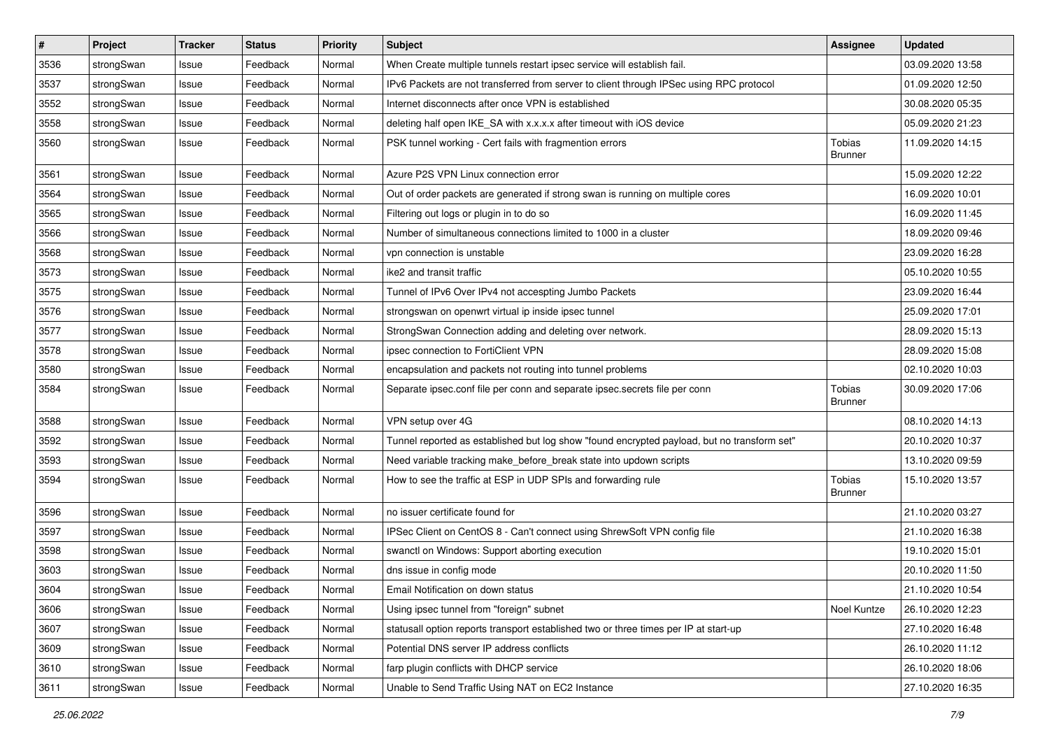| #    | Project    | <b>Tracker</b> | <b>Status</b> | <b>Priority</b> | <b>Subject</b>                                                                              | <b>Assignee</b>          | <b>Updated</b>   |
|------|------------|----------------|---------------|-----------------|---------------------------------------------------------------------------------------------|--------------------------|------------------|
| 3536 | strongSwan | Issue          | Feedback      | Normal          | When Create multiple tunnels restart ipsec service will establish fail.                     |                          | 03.09.2020 13:58 |
| 3537 | strongSwan | Issue          | Feedback      | Normal          | IPv6 Packets are not transferred from server to client through IPSec using RPC protocol     |                          | 01.09.2020 12:50 |
| 3552 | strongSwan | Issue          | Feedback      | Normal          | Internet disconnects after once VPN is established                                          |                          | 30.08.2020 05:35 |
| 3558 | strongSwan | Issue          | Feedback      | Normal          | deleting half open IKE_SA with x.x.x.x after timeout with iOS device                        |                          | 05.09.2020 21:23 |
| 3560 | strongSwan | Issue          | Feedback      | Normal          | PSK tunnel working - Cert fails with fragmention errors                                     | Tobias<br>Brunner        | 11.09.2020 14:15 |
| 3561 | strongSwan | Issue          | Feedback      | Normal          | Azure P2S VPN Linux connection error                                                        |                          | 15.09.2020 12:22 |
| 3564 | strongSwan | Issue          | Feedback      | Normal          | Out of order packets are generated if strong swan is running on multiple cores              |                          | 16.09.2020 10:01 |
| 3565 | strongSwan | Issue          | Feedback      | Normal          | Filtering out logs or plugin in to do so                                                    |                          | 16.09.2020 11:45 |
| 3566 | strongSwan | Issue          | Feedback      | Normal          | Number of simultaneous connections limited to 1000 in a cluster                             |                          | 18.09.2020 09:46 |
| 3568 | strongSwan | Issue          | Feedback      | Normal          | vpn connection is unstable                                                                  |                          | 23.09.2020 16:28 |
| 3573 | strongSwan | Issue          | Feedback      | Normal          | ike2 and transit traffic                                                                    |                          | 05.10.2020 10:55 |
| 3575 | strongSwan | Issue          | Feedback      | Normal          | Tunnel of IPv6 Over IPv4 not accespting Jumbo Packets                                       |                          | 23.09.2020 16:44 |
| 3576 | strongSwan | Issue          | Feedback      | Normal          | strongswan on openwrt virtual ip inside ipsec tunnel                                        |                          | 25.09.2020 17:01 |
| 3577 | strongSwan | Issue          | Feedback      | Normal          | StrongSwan Connection adding and deleting over network.                                     |                          | 28.09.2020 15:13 |
| 3578 | strongSwan | Issue          | Feedback      | Normal          | ipsec connection to FortiClient VPN                                                         |                          | 28.09.2020 15:08 |
| 3580 | strongSwan | Issue          | Feedback      | Normal          | encapsulation and packets not routing into tunnel problems                                  |                          | 02.10.2020 10:03 |
| 3584 | strongSwan | Issue          | Feedback      | Normal          | Separate ipsec.conf file per conn and separate ipsec.secrets file per conn                  | Tobias<br><b>Brunner</b> | 30.09.2020 17:06 |
| 3588 | strongSwan | Issue          | Feedback      | Normal          | VPN setup over 4G                                                                           |                          | 08.10.2020 14:13 |
| 3592 | strongSwan | Issue          | Feedback      | Normal          | Tunnel reported as established but log show "found encrypted payload, but no transform set" |                          | 20.10.2020 10:37 |
| 3593 | strongSwan | Issue          | Feedback      | Normal          | Need variable tracking make_before_break state into updown scripts                          |                          | 13.10.2020 09:59 |
| 3594 | strongSwan | Issue          | Feedback      | Normal          | How to see the traffic at ESP in UDP SPIs and forwarding rule                               | Tobias<br><b>Brunner</b> | 15.10.2020 13:57 |
| 3596 | strongSwan | Issue          | Feedback      | Normal          | no issuer certificate found for                                                             |                          | 21.10.2020 03:27 |
| 3597 | strongSwan | Issue          | Feedback      | Normal          | IPSec Client on CentOS 8 - Can't connect using ShrewSoft VPN config file                    |                          | 21.10.2020 16:38 |
| 3598 | strongSwan | Issue          | Feedback      | Normal          | swanctl on Windows: Support aborting execution                                              |                          | 19.10.2020 15:01 |
| 3603 | strongSwan | Issue          | Feedback      | Normal          | dns issue in config mode                                                                    |                          | 20.10.2020 11:50 |
| 3604 | strongSwan | Issue          | Feedback      | Normal          | Email Notification on down status                                                           |                          | 21.10.2020 10:54 |
| 3606 | strongSwan | Issue          | Feedback      | Normal          | Using ipsec tunnel from "foreign" subnet                                                    | Noel Kuntze              | 26.10.2020 12:23 |
| 3607 | strongSwan | Issue          | Feedback      | Normal          | statusall option reports transport established two or three times per IP at start-up        |                          | 27.10.2020 16:48 |
| 3609 | strongSwan | Issue          | Feedback      | Normal          | Potential DNS server IP address conflicts                                                   |                          | 26.10.2020 11:12 |
| 3610 | strongSwan | Issue          | Feedback      | Normal          | farp plugin conflicts with DHCP service                                                     |                          | 26.10.2020 18:06 |
| 3611 | strongSwan | Issue          | Feedback      | Normal          | Unable to Send Traffic Using NAT on EC2 Instance                                            |                          | 27.10.2020 16:35 |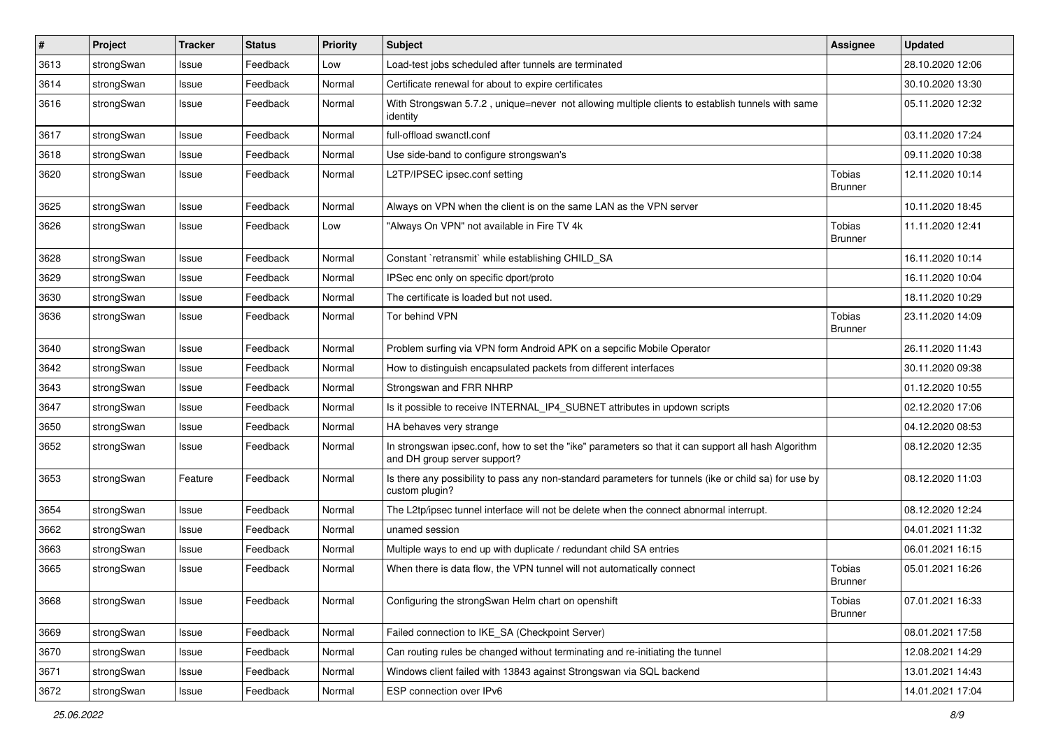| $\vert$ # | Project    | <b>Tracker</b> | <b>Status</b> | <b>Priority</b> | <b>Subject</b>                                                                                                                      | <b>Assignee</b>                 | <b>Updated</b>   |
|-----------|------------|----------------|---------------|-----------------|-------------------------------------------------------------------------------------------------------------------------------------|---------------------------------|------------------|
| 3613      | strongSwan | Issue          | Feedback      | Low             | Load-test jobs scheduled after tunnels are terminated                                                                               |                                 | 28.10.2020 12:06 |
| 3614      | strongSwan | Issue          | Feedback      | Normal          | Certificate renewal for about to expire certificates                                                                                |                                 | 30.10.2020 13:30 |
| 3616      | strongSwan | Issue          | Feedback      | Normal          | With Strongswan 5.7.2, unique=never not allowing multiple clients to establish tunnels with same<br>identity                        |                                 | 05.11.2020 12:32 |
| 3617      | strongSwan | Issue          | Feedback      | Normal          | full-offload swanctl.conf                                                                                                           |                                 | 03.11.2020 17:24 |
| 3618      | strongSwan | Issue          | Feedback      | Normal          | Use side-band to configure strongswan's                                                                                             |                                 | 09.11.2020 10:38 |
| 3620      | strongSwan | Issue          | Feedback      | Normal          | L2TP/IPSEC ipsec.conf setting                                                                                                       | Tobias<br><b>Brunner</b>        | 12.11.2020 10:14 |
| 3625      | strongSwan | Issue          | Feedback      | Normal          | Always on VPN when the client is on the same LAN as the VPN server                                                                  |                                 | 10.11.2020 18:45 |
| 3626      | strongSwan | Issue          | Feedback      | Low             | "Always On VPN" not available in Fire TV 4k                                                                                         | Tobias<br><b>Brunner</b>        | 11.11.2020 12:41 |
| 3628      | strongSwan | Issue          | Feedback      | Normal          | Constant `retransmit` while establishing CHILD_SA                                                                                   |                                 | 16.11.2020 10:14 |
| 3629      | strongSwan | Issue          | Feedback      | Normal          | IPSec enc only on specific dport/proto                                                                                              |                                 | 16.11.2020 10:04 |
| 3630      | strongSwan | Issue          | Feedback      | Normal          | The certificate is loaded but not used.                                                                                             |                                 | 18.11.2020 10:29 |
| 3636      | strongSwan | Issue          | Feedback      | Normal          | Tor behind VPN                                                                                                                      | Tobias<br><b>Brunner</b>        | 23.11.2020 14:09 |
| 3640      | strongSwan | Issue          | Feedback      | Normal          | Problem surfing via VPN form Android APK on a sepcific Mobile Operator                                                              |                                 | 26.11.2020 11:43 |
| 3642      | strongSwan | Issue          | Feedback      | Normal          | How to distinguish encapsulated packets from different interfaces                                                                   |                                 | 30.11.2020 09:38 |
| 3643      | strongSwan | Issue          | Feedback      | Normal          | Strongswan and FRR NHRP                                                                                                             |                                 | 01.12.2020 10:55 |
| 3647      | strongSwan | Issue          | Feedback      | Normal          | Is it possible to receive INTERNAL_IP4_SUBNET attributes in updown scripts                                                          |                                 | 02.12.2020 17:06 |
| 3650      | strongSwan | Issue          | Feedback      | Normal          | HA behaves very strange                                                                                                             |                                 | 04.12.2020 08:53 |
| 3652      | strongSwan | Issue          | Feedback      | Normal          | In strongswan ipsec.conf, how to set the "ike" parameters so that it can support all hash Algorithm<br>and DH group server support? |                                 | 08.12.2020 12:35 |
| 3653      | strongSwan | Feature        | Feedback      | Normal          | Is there any possibility to pass any non-standard parameters for tunnels (ike or child sa) for use by<br>custom plugin?             |                                 | 08.12.2020 11:03 |
| 3654      | strongSwan | Issue          | Feedback      | Normal          | The L2tp/ipsec tunnel interface will not be delete when the connect abnormal interrupt.                                             |                                 | 08.12.2020 12:24 |
| 3662      | strongSwan | Issue          | Feedback      | Normal          | unamed session                                                                                                                      |                                 | 04.01.2021 11:32 |
| 3663      | strongSwan | Issue          | Feedback      | Normal          | Multiple ways to end up with duplicate / redundant child SA entries                                                                 |                                 | 06.01.2021 16:15 |
| 3665      | strongSwan | Issue          | Feedback      | Normal          | When there is data flow, the VPN tunnel will not automatically connect                                                              | <b>Tobias</b><br><b>Brunner</b> | 05.01.2021 16:26 |
| 3668      | strongSwan | Issue          | Feedback      | Normal          | Configuring the strongSwan Helm chart on openshift                                                                                  | Tobias<br><b>Brunner</b>        | 07.01.2021 16:33 |
| 3669      | strongSwan | Issue          | Feedback      | Normal          | Failed connection to IKE SA (Checkpoint Server)                                                                                     |                                 | 08.01.2021 17:58 |
| 3670      | strongSwan | Issue          | Feedback      | Normal          | Can routing rules be changed without terminating and re-initiating the tunnel                                                       |                                 | 12.08.2021 14:29 |
| 3671      | strongSwan | Issue          | Feedback      | Normal          | Windows client failed with 13843 against Strongswan via SQL backend                                                                 |                                 | 13.01.2021 14:43 |
| 3672      | strongSwan | Issue          | Feedback      | Normal          | ESP connection over IPv6                                                                                                            |                                 | 14.01.2021 17:04 |